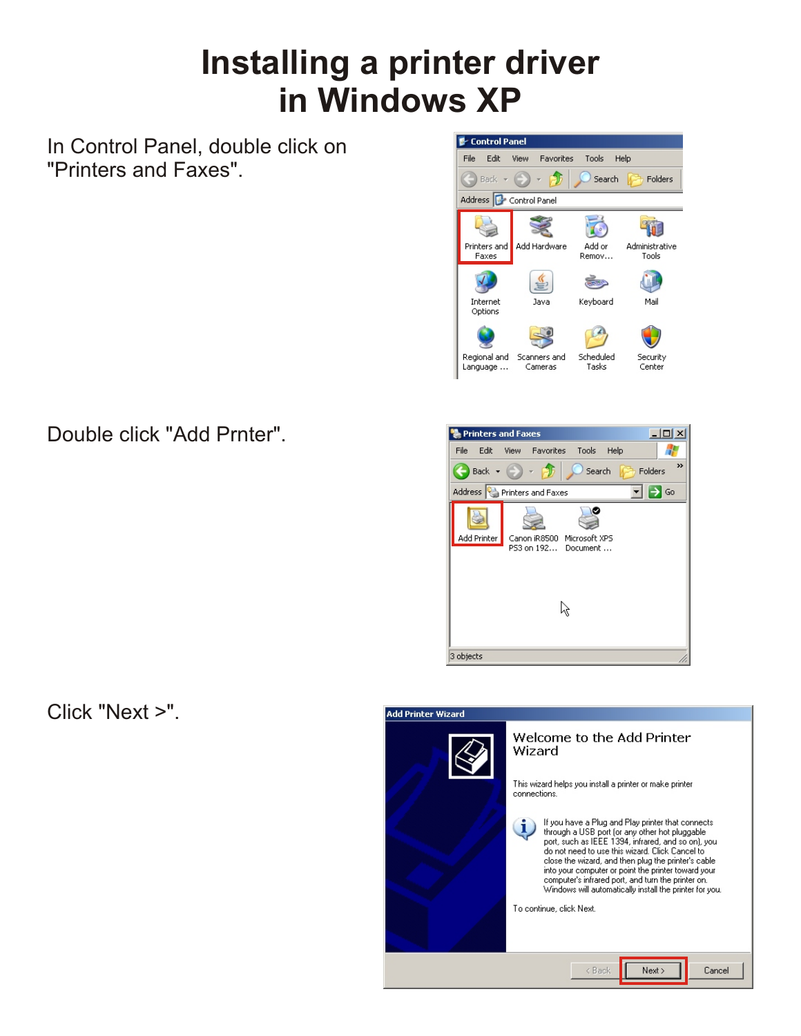# **Installing a printer driver in Windows XP**

In Control Panel, double click on "Printers and Faxes".



### Double click "Add Prnter".

| <b>Printers and Faxes</b>        |                |  |                                                   |  |         | $ \Box$ $\times$ |
|----------------------------------|----------------|--|---------------------------------------------------|--|---------|------------------|
| Edit<br>File                     |                |  | View Favorites Tools Help                         |  |         |                  |
|                                  | $Back - (-) -$ |  | Search                                            |  | Folders | >>               |
| Address Printers and Faxes<br>Go |                |  |                                                   |  |         |                  |
|                                  |                |  |                                                   |  |         |                  |
| Add Printer                      |                |  | Canon iR8500 Microsoft XPS<br>P53 on 192 Document |  |         |                  |
|                                  |                |  |                                                   |  |         |                  |
|                                  |                |  |                                                   |  |         |                  |
| 3 objects                        |                |  |                                                   |  |         |                  |

#### Click "Next >".

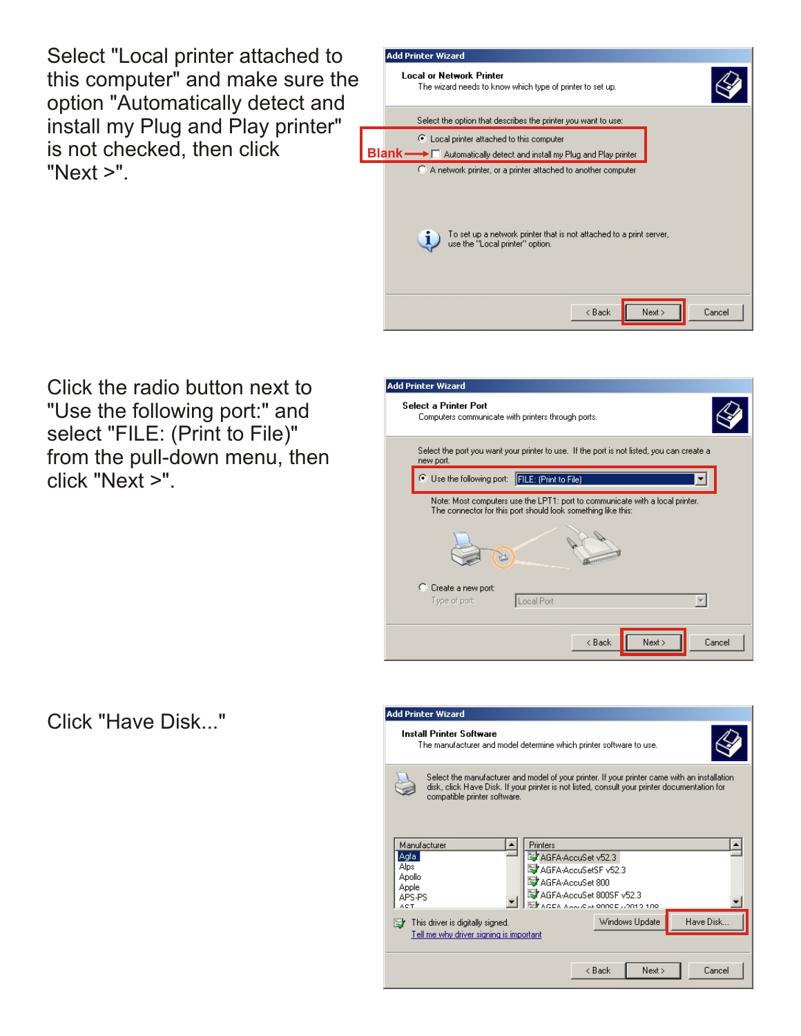Select "Local printer attached to this computer" and make sure the option "Automatically detect and install my Plug and Play printer" is not checked, then click "Next >".



Click the radio button next to "Use the following port:" and select "FILE: (Print to File)" from the pull-down menu, then click "Next >".



#### Click "Have Disk..."

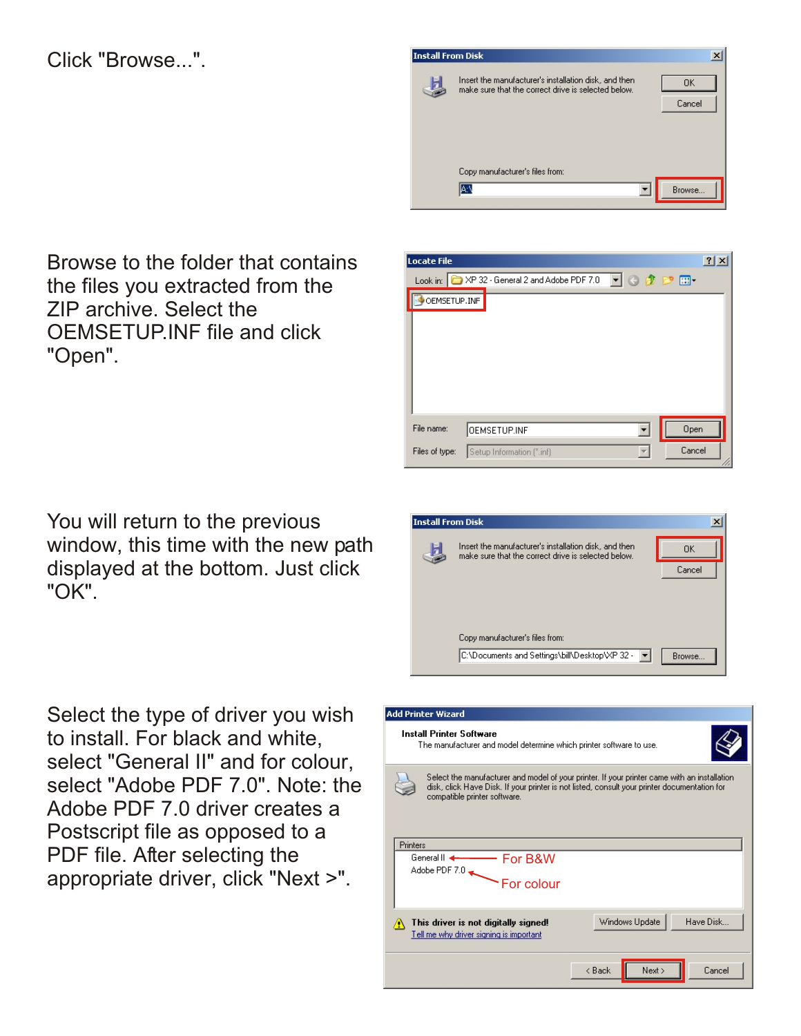#### Click "Browse...".



Browse to the folder that contains the files you extracted from the ZIP archive. Select the OEMSETUP.INF file and click "Open".

You will return to the previous window, this time with the new path displayed at the bottom. Just click "OK".

Select the type of driver you wish to install. For black and white, select "General II" and for colour, select "Adobe PDF 7.0". Note: the Adobe PDF 7.0 driver creates a Postscript file as opposed to a PDF file. After selecting the appropriate driver, click "Next >".





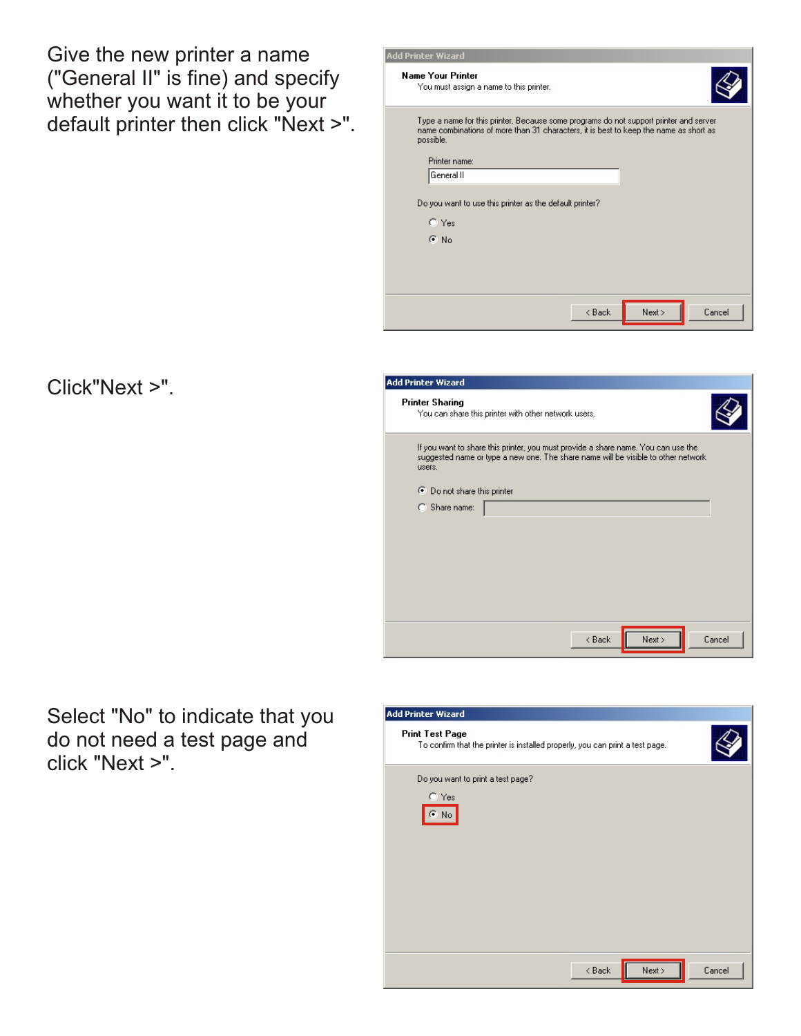Give the new printer a name ("General II" is fine) and specify whether you want it to be your default printer then click "Next >".

| \dd Printer Wizard                                                                                                                                                                                           |                |
|--------------------------------------------------------------------------------------------------------------------------------------------------------------------------------------------------------------|----------------|
| <b>Name Your Printer</b><br>You must assign a name to this printer.                                                                                                                                          |                |
| Type a name for this printer. Because some programs do not support printer and server<br>name combinations of more than 31 characters, it is best to keep the name as short as<br>possible.<br>Printer name: |                |
|                                                                                                                                                                                                              |                |
| General II                                                                                                                                                                                                   |                |
| Do you want to use this printer as the default printer?<br>$C$ Yes<br>$\odot$ No                                                                                                                             |                |
| < Back                                                                                                                                                                                                       | Cancel<br>Next |

#### Click"Next >".

| <b>Printer Sharing</b><br>You can share this printer with other network users.<br>If you want to share this printer, you must provide a share name. You can use the<br>suggested name or type a new one. The share name will be visible to other network<br>users.<br>◯ Do not share this printer<br>C Share name: |  |
|--------------------------------------------------------------------------------------------------------------------------------------------------------------------------------------------------------------------------------------------------------------------------------------------------------------------|--|
|                                                                                                                                                                                                                                                                                                                    |  |
|                                                                                                                                                                                                                                                                                                                    |  |
|                                                                                                                                                                                                                                                                                                                    |  |
|                                                                                                                                                                                                                                                                                                                    |  |
|                                                                                                                                                                                                                                                                                                                    |  |
|                                                                                                                                                                                                                                                                                                                    |  |
|                                                                                                                                                                                                                                                                                                                    |  |
|                                                                                                                                                                                                                                                                                                                    |  |
|                                                                                                                                                                                                                                                                                                                    |  |
|                                                                                                                                                                                                                                                                                                                    |  |
| Next<br>Cancel<br>$8$ Back                                                                                                                                                                                                                                                                                         |  |

Select "No" to indicate that you do not need a test page and click "Next >".